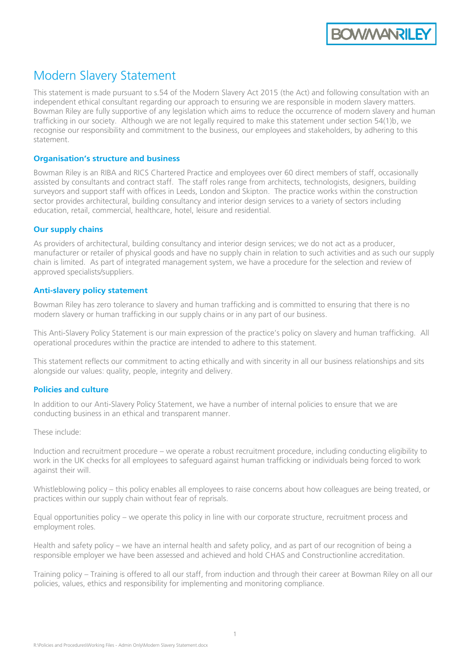

# Modern Slavery Statement

This statement is made pursuant to s.54 of the Modern Slavery Act 2015 (the Act) and following consultation with an independent ethical consultant regarding our approach to ensuring we are responsible in modern slavery matters. Bowman Riley are fully supportive of any legislation which aims to reduce the occurrence of modern slavery and human trafficking in our society. Although we are not legally required to make this statement under section 54(1)b, we recognise our responsibility and commitment to the business, our employees and stakeholders, by adhering to this statement.

## **Organisation's structure and business**

Bowman Riley is an RIBA and RICS Chartered Practice and employees over 60 direct members of staff, occasionally assisted by consultants and contract staff. The staff roles range from architects, technologists, designers, building surveyors and support staff with offices in Leeds, London and Skipton. The practice works within the construction sector provides architectural, building consultancy and interior design services to a variety of sectors including education, retail, commercial, healthcare, hotel, leisure and residential.

## **Our supply chains**

As providers of architectural, building consultancy and interior design services; we do not act as a producer, manufacturer or retailer of physical goods and have no supply chain in relation to such activities and as such our supply chain is limited. As part of integrated management system, we have a procedure for the selection and review of approved specialists/suppliers.

## **Anti-slavery policy statement**

Bowman Riley has zero tolerance to slavery and human trafficking and is committed to ensuring that there is no modern slavery or human trafficking in our supply chains or in any part of our business.

This Anti-Slavery Policy Statement is our main expression of the practice's policy on slavery and human trafficking. All operational procedures within the practice are intended to adhere to this statement.

This statement reflects our commitment to acting ethically and with sincerity in all our business relationships and sits alongside our values: quality, people, integrity and delivery.

## **Policies and culture**

In addition to our Anti-Slavery Policy Statement, we have a number of internal policies to ensure that we are conducting business in an ethical and transparent manner.

These include:

Induction and recruitment procedure – we operate a robust recruitment procedure, including conducting eligibility to work in the UK checks for all employees to safeguard against human trafficking or individuals being forced to work against their will.

Whistleblowing policy – this policy enables all employees to raise concerns about how colleagues are being treated, or practices within our supply chain without fear of reprisals.

Equal opportunities policy – we operate this policy in line with our corporate structure, recruitment process and employment roles.

Health and safety policy – we have an internal health and safety policy, and as part of our recognition of being a responsible employer we have been assessed and achieved and hold CHAS and Constructionline accreditation.

Training policy – Training is offered to all our staff, from induction and through their career at Bowman Riley on all our policies, values, ethics and responsibility for implementing and monitoring compliance.